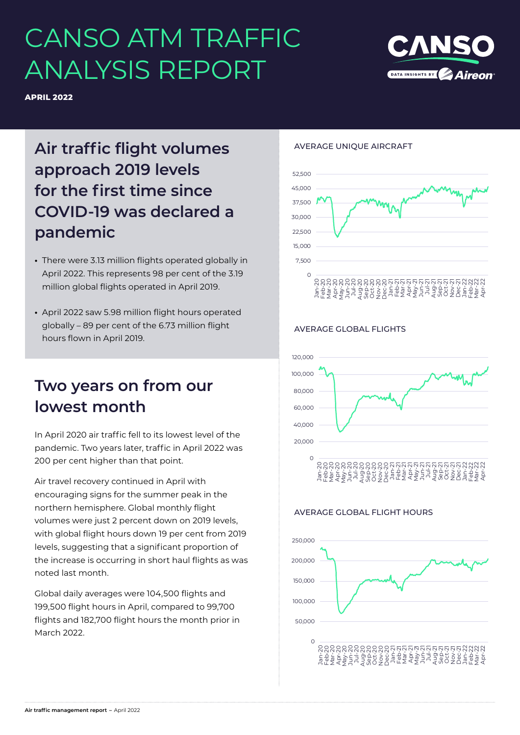# CANSO ATM TRAFFIC ANALYSIS REPORT



**APRIL 2022**

# **Air traffic flight volumes approach 2019 levels for the first time since COVID-19 was declared a pandemic**

- **•** There were 3.13 million flights operated globally in April 2022. This represents 98 per cent of the 3.19 million global flights operated in April 2019.
- **•** April 2022 saw 5.98 million flight hours operated globally – 89 per cent of the 6.73 million flight hours flown in April 2019.

### **Two years on from our lowest month**

In April 2020 air traffic fell to its lowest level of the pandemic. Two years later, traffic in April 2022 was 200 per cent higher than that point.

Air travel recovery continued in April with encouraging signs for the summer peak in the northern hemisphere. Global monthly flight volumes were just 2 percent down on 2019 levels, with global flight hours down 19 per cent from 2019 levels, suggesting that a significant proportion of the increase is occurring in short haul flights as was noted last month.

Global daily averages were 104,500 flights and 199,500 flight hours in April, compared to 99,700 flights and 182,700 flight hours the month prior in March 2022.

### AVERAGE UNIQUE AIRCRAFT



### AVERAGE GLOBAL FLIGHTS



### AVERAGE GLOBAL FLIGHT HOURS

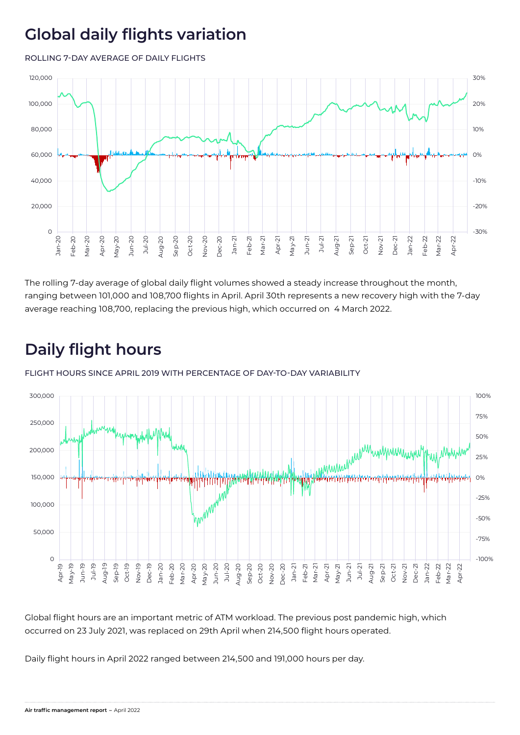## **Global daily flights variation**

ROLLING 7-DAY AVERAGE OF DAILY FLIGHTS



The rolling 7-day average of global daily flight volumes showed a steady increase throughout the month, ranging between 101,000 and 108,700 flights in April. April 30th represents a new recovery high with the 7-day average reaching 108,700, replacing the previous high, which occurred on 4 March 2022.

# **Daily flight hours**

FLIGHT HOURS SINCE APRIL 2019 WITH PERCENTAGE OF DAY-TO-DAY VARIABILITY



Global flight hours are an important metric of ATM workload. The previous post pandemic high, which occurred on 23 July 2021, was replaced on 29th April when 214,500 flight hours operated.

Daily flight hours in April 2022 ranged between 214,500 and 191,000 hours per day.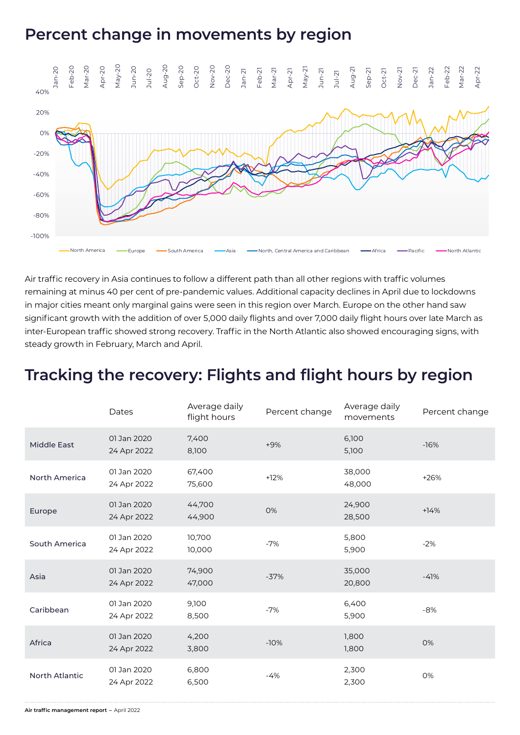### **Percent change in movements by region**



Air traffic recovery in Asia continues to follow a different path than all other regions with traffic volumes remaining at minus 40 per cent of pre-pandemic values. Additional capacity declines in April due to lockdowns in major cities meant only marginal gains were seen in this region over March. Europe on the other hand saw significant growth with the addition of over 5,000 daily flights and over 7,000 daily flight hours over late March as inter-European traffic showed strong recovery. Traffic in the North Atlantic also showed encouraging signs, with steady growth in February, March and April.

### **Tracking the recovery: Flights and flight hours by region**

|                       | Dates                      | Average daily<br>flight hours | Percent change | Average daily<br>movements | Percent change |
|-----------------------|----------------------------|-------------------------------|----------------|----------------------------|----------------|
| <b>Middle East</b>    | 01 Jan 2020<br>24 Apr 2022 | 7,400<br>8,100                | $+9%$          | 6,100<br>5,100             | $-16%$         |
| <b>North America</b>  | 01 Jan 2020<br>24 Apr 2022 | 67,400<br>75,600              | $+12%$         | 38,000<br>48,000           | $+26%$         |
| Europe                | 01 Jan 2020<br>24 Apr 2022 | 44,700<br>44,900              | 0%             | 24,900<br>28,500           | $+14%$         |
| South America         | 01 Jan 2020<br>24 Apr 2022 | 10,700<br>10,000              | $-7%$          | 5,800<br>5,900             | $-2%$          |
| Asia                  | 01 Jan 2020<br>24 Apr 2022 | 74,900<br>47,000              | $-37%$         | 35,000<br>20,800           | $-41%$         |
| Caribbean             | 01 Jan 2020<br>24 Apr 2022 | 9,100<br>8,500                | $-7%$          | 6,400<br>5,900             | $-8%$          |
| Africa                | 01 Jan 2020<br>24 Apr 2022 | 4,200<br>3,800                | $-10%$         | 1,800<br>1,800             | 0%             |
| <b>North Atlantic</b> | 01 Jan 2020<br>24 Apr 2022 | 6,800<br>6,500                | $-4%$          | 2,300<br>2,300             | 0%             |